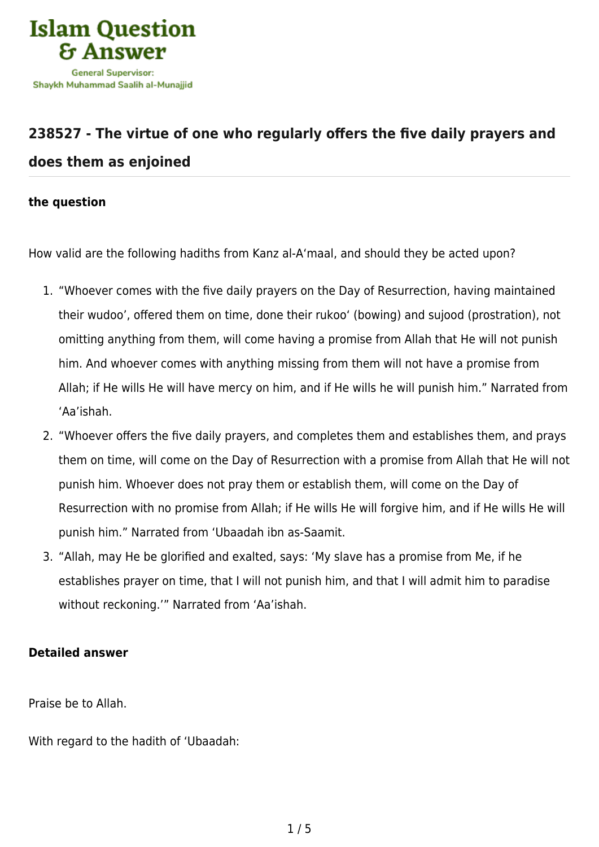

## **[238527 - The virtue of one who regularly offers the five daily prayers and](https://islamqa.com/en/answers/238527/the-virtue-of-one-who-regularly-offers-the-five-daily-prayers-and-does-them-as-enjoined) [does them as enjoined](https://islamqa.com/en/answers/238527/the-virtue-of-one-who-regularly-offers-the-five-daily-prayers-and-does-them-as-enjoined)**

## **the question**

How valid are the following hadiths from Kanz al-A'maal, and should they be acted upon?

- 1. "Whoever comes with the five daily prayers on the Day of Resurrection, having maintained their wudoo', offered them on time, done their rukoo' (bowing) and sujood (prostration), not omitting anything from them, will come having a promise from Allah that He will not punish him. And whoever comes with anything missing from them will not have a promise from Allah; if He wills He will have mercy on him, and if He wills he will punish him." Narrated from 'Aa'ishah.
- 2. "Whoever offers the five daily prayers, and completes them and establishes them, and prays them on time, will come on the Day of Resurrection with a promise from Allah that He will not punish him. Whoever does not pray them or establish them, will come on the Day of Resurrection with no promise from Allah; if He wills He will forgive him, and if He wills He will punish him." Narrated from 'Ubaadah ibn as-Saamit.
- 3. "Allah, may He be glorified and exalted, says: 'My slave has a promise from Me, if he establishes prayer on time, that I will not punish him, and that I will admit him to paradise without reckoning.'" Narrated from 'Aa'ishah.

## **Detailed answer**

Praise be to Allah.

With regard to the hadith of 'Ubaadah: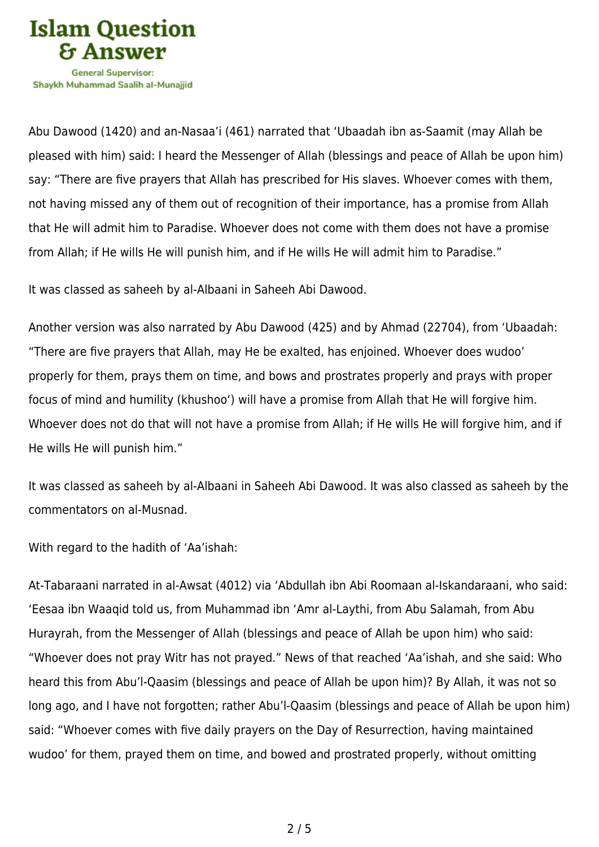

Shavkh Muhammad Saalih al-Munaiiid

Abu Dawood (1420) and an-Nasaa'i (461) narrated that 'Ubaadah ibn as-Saamit (may Allah be pleased with him) said: I heard the Messenger of Allah (blessings and peace of Allah be upon him) say: "There are five prayers that Allah has prescribed for His slaves. Whoever comes with them, not having missed any of them out of recognition of their importance, has a promise from Allah that He will admit him to Paradise. Whoever does not come with them does not have a promise from Allah; if He wills He will punish him, and if He wills He will admit him to Paradise."

It was classed as saheeh by al-Albaani in Saheeh Abi Dawood.

Another version was also narrated by Abu Dawood (425) and by Ahmad (22704), from 'Ubaadah: "There are five prayers that Allah, may He be exalted, has enjoined. Whoever does wudoo' properly for them, prays them on time, and bows and prostrates properly and prays with proper focus of mind and humility (khushoo') will have a promise from Allah that He will forgive him. Whoever does not do that will not have a promise from Allah; if He wills He will forgive him, and if He wills He will punish him."

It was classed as saheeh by al-Albaani in Saheeh Abi Dawood. It was also classed as saheeh by the commentators on al-Musnad.

With regard to the hadith of 'Aa'ishah:

At-Tabaraani narrated in al-Awsat (4012) via 'Abdullah ibn Abi Roomaan al-Iskandaraani, who said: 'Eesaa ibn Waaqid told us, from Muhammad ibn 'Amr al-Laythi, from Abu Salamah, from Abu Hurayrah, from the Messenger of Allah (blessings and peace of Allah be upon him) who said: "Whoever does not pray Witr has not prayed." News of that reached 'Aa'ishah, and she said: Who heard this from Abu'l-Qaasim (blessings and peace of Allah be upon him)? By Allah, it was not so long ago, and I have not forgotten; rather Abu'l-Qaasim (blessings and peace of Allah be upon him) said: "Whoever comes with five daily prayers on the Day of Resurrection, having maintained wudoo' for them, prayed them on time, and bowed and prostrated properly, without omitting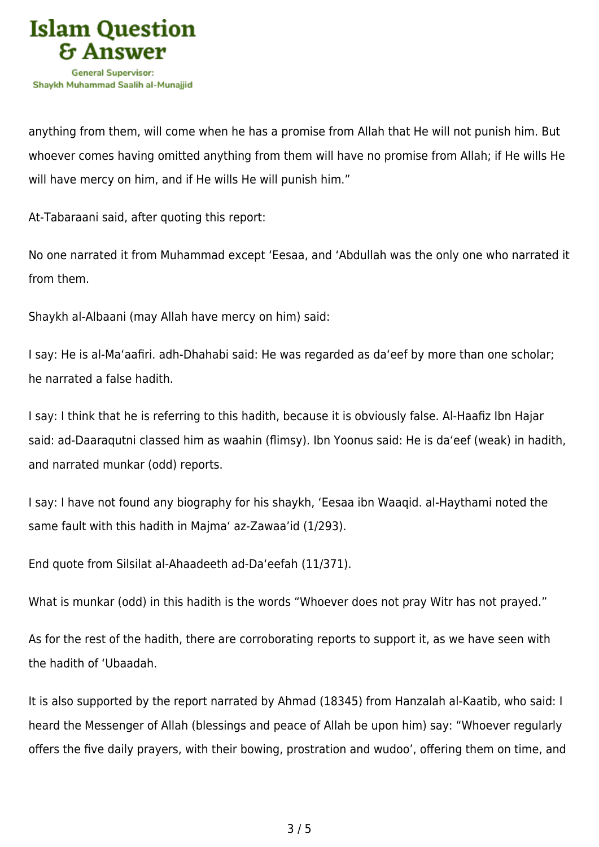

anything from them, will come when he has a promise from Allah that He will not punish him. But whoever comes having omitted anything from them will have no promise from Allah; if He wills He will have mercy on him, and if He wills He will punish him."

At-Tabaraani said, after quoting this report:

No one narrated it from Muhammad except 'Eesaa, and 'Abdullah was the only one who narrated it from them.

Shaykh al-Albaani (may Allah have mercy on him) said:

I say: He is al-Ma'aafiri. adh-Dhahabi said: He was regarded as da'eef by more than one scholar; he narrated a false hadith.

I say: I think that he is referring to this hadith, because it is obviously false. Al-Haafiz Ibn Hajar said: ad-Daaraqutni classed him as waahin (flimsy). Ibn Yoonus said: He is da'eef (weak) in hadith, and narrated munkar (odd) reports.

I say: I have not found any biography for his shaykh, 'Eesaa ibn Waaqid. al-Haythami noted the same fault with this hadith in Majma' az-Zawaa'id (1/293).

End quote from Silsilat al-Ahaadeeth ad-Da'eefah (11/371).

What is munkar (odd) in this hadith is the words "Whoever does not pray Witr has not prayed."

As for the rest of the hadith, there are corroborating reports to support it, as we have seen with the hadith of 'Ubaadah.

It is also supported by the report narrated by Ahmad (18345) from Hanzalah al-Kaatib, who said: I heard the Messenger of Allah (blessings and peace of Allah be upon him) say: "Whoever regularly offers the five daily prayers, with their bowing, prostration and wudoo', offering them on time, and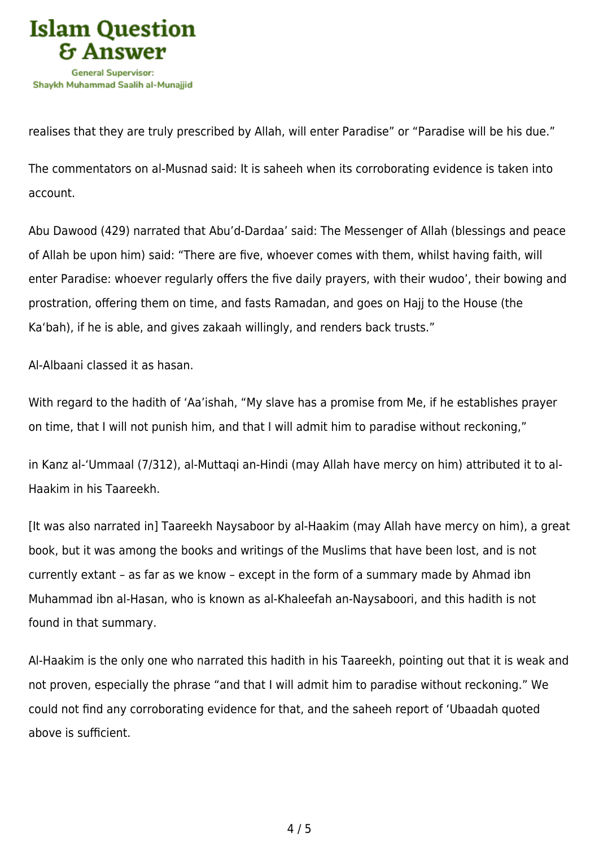

realises that they are truly prescribed by Allah, will enter Paradise" or "Paradise will be his due."

The commentators on al-Musnad said: It is saheeh when its corroborating evidence is taken into account.

Abu Dawood (429) narrated that Abu'd-Dardaa' said: The Messenger of Allah (blessings and peace of Allah be upon him) said: "There are five, whoever comes with them, whilst having faith, will enter Paradise: whoever regularly offers the five daily prayers, with their wudoo', their bowing and prostration, offering them on time, and fasts Ramadan, and goes on Hajj to the House (the Ka'bah), if he is able, and gives zakaah willingly, and renders back trusts."

Al-Albaani classed it as hasan.

With regard to the hadith of 'Aa'ishah, "My slave has a promise from Me, if he establishes prayer on time, that I will not punish him, and that I will admit him to paradise without reckoning,"

in Kanz al-'Ummaal (7/312), al-Muttaqi an-Hindi (may Allah have mercy on him) attributed it to al-Haakim in his Taareekh.

[It was also narrated in] Taareekh Naysaboor by al-Haakim (may Allah have mercy on him), a great book, but it was among the books and writings of the Muslims that have been lost, and is not currently extant – as far as we know – except in the form of a summary made by Ahmad ibn Muhammad ibn al-Hasan, who is known as al-Khaleefah an-Naysaboori, and this hadith is not found in that summary.

Al-Haakim is the only one who narrated this hadith in his Taareekh, pointing out that it is weak and not proven, especially the phrase "and that I will admit him to paradise without reckoning." We could not find any corroborating evidence for that, and the saheeh report of 'Ubaadah quoted above is sufficient.